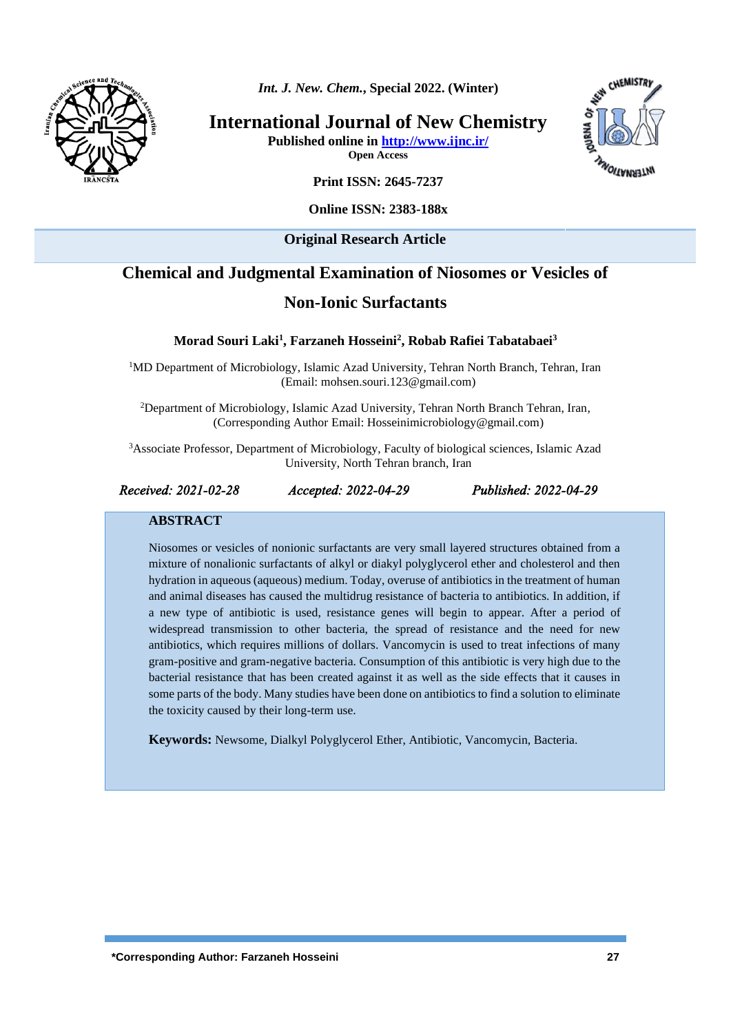

*Int. J. New. Chem.***, Special 2022. (Winter)**

**International Journal of New Chemistry**

**Published online i[n http://www.ijnc.ir/](http://www.ijnc.ir/) Open Access**



**Online ISSN: 2383-188x** 

## **Original Research Article**

# **Chemical and Judgmental Examination of Niosomes or Vesicles of**

# **Non-Ionic Surfactants**

**Morad Souri Laki<sup>1</sup> , Farzaneh Hosseini<sup>2</sup> , Robab Rafiei Tabatabaei<sup>3</sup>**

<sup>1</sup>MD Department of Microbiology, Islamic Azad University, Tehran North Branch, Tehran, Iran (Email: mohsen.souri.123@gmail.com)

<sup>2</sup>Department of Microbiology, Islamic Azad University, Tehran North Branch Tehran, Iran, (Corresponding Author Email: Hosseinimicrobiology@gmail.com)

<sup>3</sup>Associate Professor, Department of Microbiology, Faculty of biological sciences, Islamic Azad University, North Tehran branch, Iran

*Received: 2021-02-28 Accepted: 2022-04-29 Published: 2022-04-29* 

CHEMISTA

**WAERMATION** 

## **ABSTRACT**

Niosomes or vesicles of nonionic surfactants are very small layered structures obtained from a mixture of nonalionic surfactants of alkyl or diakyl polyglycerol ether and cholesterol and then hydration in aqueous (aqueous) medium. Today, overuse of antibiotics in the treatment of human and animal diseases has caused the multidrug resistance of bacteria to antibiotics. In addition, if a new type of antibiotic is used, resistance genes will begin to appear. After a period of widespread transmission to other bacteria, the spread of resistance and the need for new antibiotics, which requires millions of dollars. Vancomycin is used to treat infections of many gram-positive and gram-negative bacteria. Consumption of this antibiotic is very high due to the bacterial resistance that has been created against it as well as the side effects that it causes in some parts of the body. Many studies have been done on antibiotics to find a solution to eliminate the toxicity caused by their long-term use.

**Keywords:** Newsome, Dialkyl Polyglycerol Ether, Antibiotic, Vancomycin, Bacteria.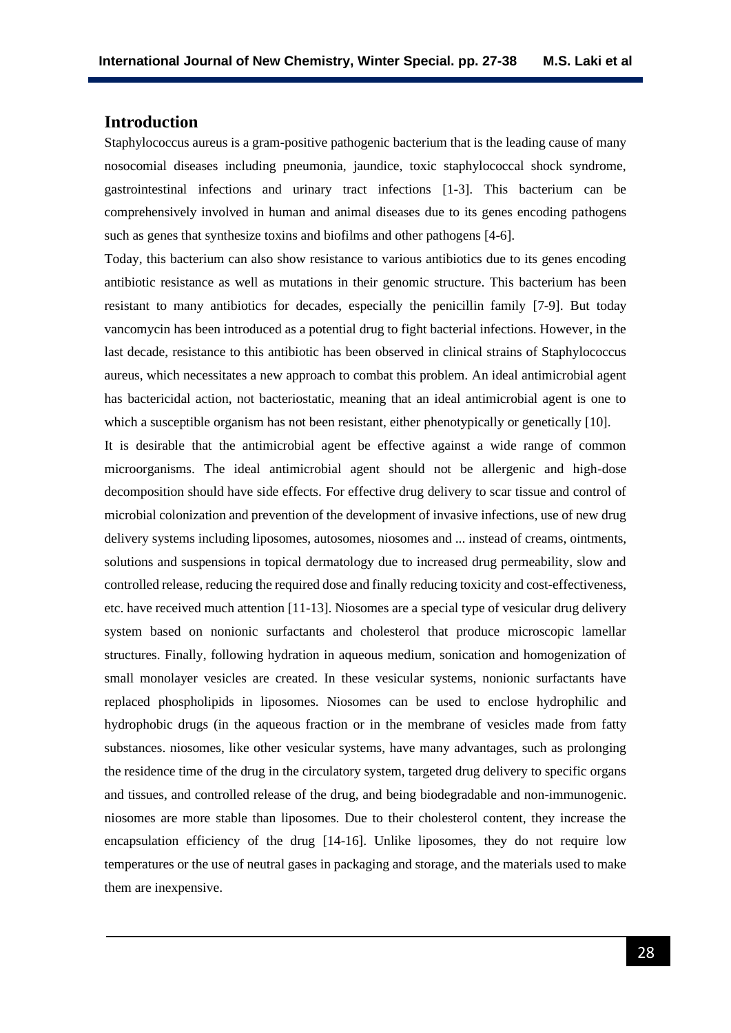## **Introduction**

Staphylococcus aureus is a gram-positive pathogenic bacterium that is the leading cause of many nosocomial diseases including pneumonia, jaundice, toxic staphylococcal shock syndrome, gastrointestinal infections and urinary tract infections [1-3]. This bacterium can be comprehensively involved in human and animal diseases due to its genes encoding pathogens such as genes that synthesize toxins and biofilms and other pathogens [4-6].

Today, this bacterium can also show resistance to various antibiotics due to its genes encoding antibiotic resistance as well as mutations in their genomic structure. This bacterium has been resistant to many antibiotics for decades, especially the penicillin family [7-9]. But today vancomycin has been introduced as a potential drug to fight bacterial infections. However, in the last decade, resistance to this antibiotic has been observed in clinical strains of Staphylococcus aureus, which necessitates a new approach to combat this problem. An ideal antimicrobial agent has bactericidal action, not bacteriostatic, meaning that an ideal antimicrobial agent is one to which a susceptible organism has not been resistant, either phenotypically or genetically [10].

It is desirable that the antimicrobial agent be effective against a wide range of common microorganisms. The ideal antimicrobial agent should not be allergenic and high-dose decomposition should have side effects. For effective drug delivery to scar tissue and control of microbial colonization and prevention of the development of invasive infections, use of new drug delivery systems including liposomes, autosomes, niosomes and ... instead of creams, ointments, solutions and suspensions in topical dermatology due to increased drug permeability, slow and controlled release, reducing the required dose and finally reducing toxicity and cost-effectiveness, etc. have received much attention [11-13]. Niosomes are a special type of vesicular drug delivery system based on nonionic surfactants and cholesterol that produce microscopic lamellar structures. Finally, following hydration in aqueous medium, sonication and homogenization of small monolayer vesicles are created. In these vesicular systems, nonionic surfactants have replaced phospholipids in liposomes. Niosomes can be used to enclose hydrophilic and hydrophobic drugs (in the aqueous fraction or in the membrane of vesicles made from fatty substances. niosomes, like other vesicular systems, have many advantages, such as prolonging the residence time of the drug in the circulatory system, targeted drug delivery to specific organs and tissues, and controlled release of the drug, and being biodegradable and non-immunogenic. niosomes are more stable than liposomes. Due to their cholesterol content, they increase the encapsulation efficiency of the drug [14-16]. Unlike liposomes, they do not require low temperatures or the use of neutral gases in packaging and storage, and the materials used to make them are inexpensive.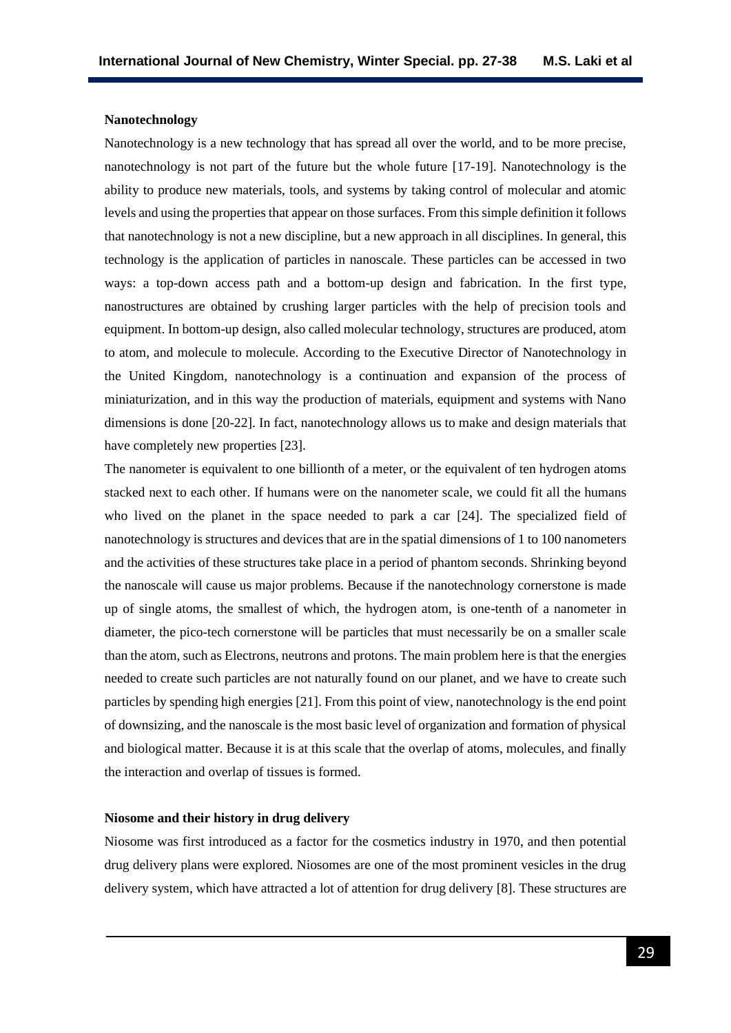#### **Nanotechnology**

Nanotechnology is a new technology that has spread all over the world, and to be more precise, nanotechnology is not part of the future but the whole future [17-19]. Nanotechnology is the ability to produce new materials, tools, and systems by taking control of molecular and atomic levels and using the properties that appear on those surfaces. From this simple definition it follows that nanotechnology is not a new discipline, but a new approach in all disciplines. In general, this technology is the application of particles in nanoscale. These particles can be accessed in two ways: a top-down access path and a bottom-up design and fabrication. In the first type, nanostructures are obtained by crushing larger particles with the help of precision tools and equipment. In bottom-up design, also called molecular technology, structures are produced, atom to atom, and molecule to molecule. According to the Executive Director of Nanotechnology in the United Kingdom, nanotechnology is a continuation and expansion of the process of miniaturization, and in this way the production of materials, equipment and systems with Nano dimensions is done [20-22]. In fact, nanotechnology allows us to make and design materials that have completely new properties [23].

The nanometer is equivalent to one billionth of a meter, or the equivalent of ten hydrogen atoms stacked next to each other. If humans were on the nanometer scale, we could fit all the humans who lived on the planet in the space needed to park a car [24]. The specialized field of nanotechnology is structures and devices that are in the spatial dimensions of 1 to 100 nanometers and the activities of these structures take place in a period of phantom seconds. Shrinking beyond the nanoscale will cause us major problems. Because if the nanotechnology cornerstone is made up of single atoms, the smallest of which, the hydrogen atom, is one-tenth of a nanometer in diameter, the pico-tech cornerstone will be particles that must necessarily be on a smaller scale than the atom, such as Electrons, neutrons and protons. The main problem here is that the energies needed to create such particles are not naturally found on our planet, and we have to create such particles by spending high energies [21]. From this point of view, nanotechnology is the end point of downsizing, and the nanoscale is the most basic level of organization and formation of physical and biological matter. Because it is at this scale that the overlap of atoms, molecules, and finally the interaction and overlap of tissues is formed.

### **Niosome and their history in drug delivery**

Niosome was first introduced as a factor for the cosmetics industry in 1970, and then potential drug delivery plans were explored. Niosomes are one of the most prominent vesicles in the drug delivery system, which have attracted a lot of attention for drug delivery [8]. These structures are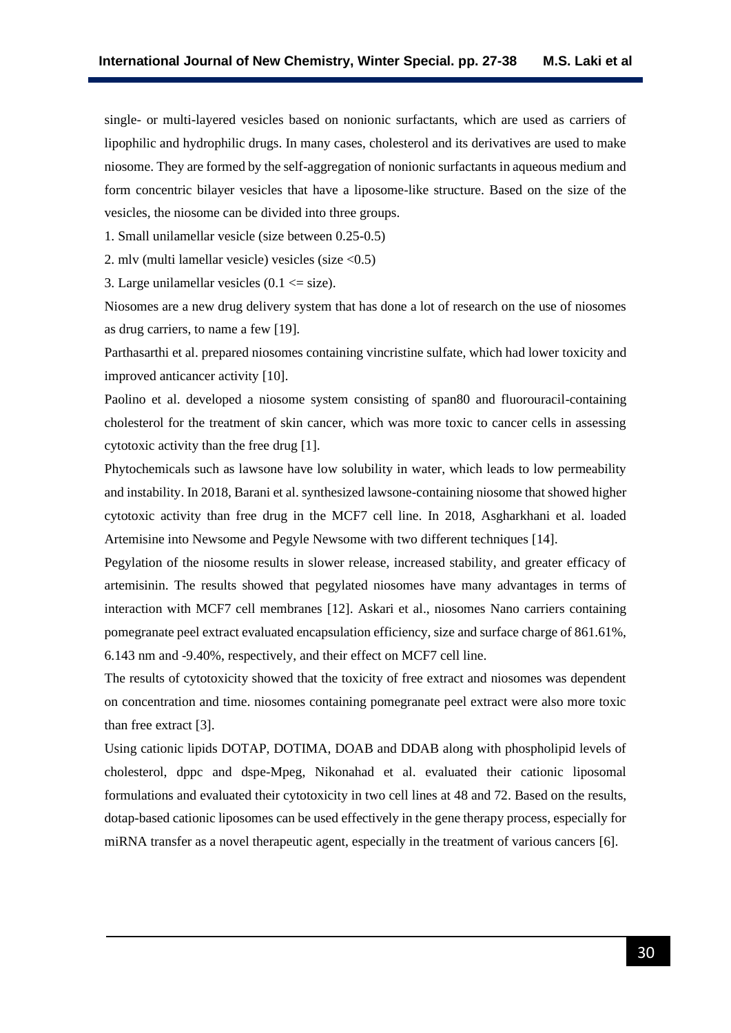single- or multi-layered vesicles based on nonionic surfactants, which are used as carriers of lipophilic and hydrophilic drugs. In many cases, cholesterol and its derivatives are used to make niosome. They are formed by the self-aggregation of nonionic surfactants in aqueous medium and form concentric bilayer vesicles that have a liposome-like structure. Based on the size of the vesicles, the niosome can be divided into three groups.

1. Small unilamellar vesicle (size between 0.25-0.5)

2. mlv (multi lamellar vesicle) vesicles (size <0.5)

3. Large unilamellar vesicles  $(0.1 \leq size)$ .

Niosomes are a new drug delivery system that has done a lot of research on the use of niosomes as drug carriers, to name a few [19].

Parthasarthi et al. prepared niosomes containing vincristine sulfate, which had lower toxicity and improved anticancer activity [10].

Paolino et al. developed a niosome system consisting of span80 and fluorouracil-containing cholesterol for the treatment of skin cancer, which was more toxic to cancer cells in assessing cytotoxic activity than the free drug [1].

Phytochemicals such as lawsone have low solubility in water, which leads to low permeability and instability. In 2018, Barani et al. synthesized lawsone-containing niosome that showed higher cytotoxic activity than free drug in the MCF7 cell line. In 2018, Asgharkhani et al. loaded Artemisine into Newsome and Pegyle Newsome with two different techniques [14].

Pegylation of the niosome results in slower release, increased stability, and greater efficacy of artemisinin. The results showed that pegylated niosomes have many advantages in terms of interaction with MCF7 cell membranes [12]. Askari et al., niosomes Nano carriers containing pomegranate peel extract evaluated encapsulation efficiency, size and surface charge of 861.61%, 6.143 nm and -9.40%, respectively, and their effect on MCF7 cell line.

The results of cytotoxicity showed that the toxicity of free extract and niosomes was dependent on concentration and time. niosomes containing pomegranate peel extract were also more toxic than free extract [3].

Using cationic lipids DOTAP, DOTIMA, DOAB and DDAB along with phospholipid levels of cholesterol, dppc and dspe-Mpeg, Nikonahad et al. evaluated their cationic liposomal formulations and evaluated their cytotoxicity in two cell lines at 48 and 72. Based on the results, dotap-based cationic liposomes can be used effectively in the gene therapy process, especially for miRNA transfer as a novel therapeutic agent, especially in the treatment of various cancers [6].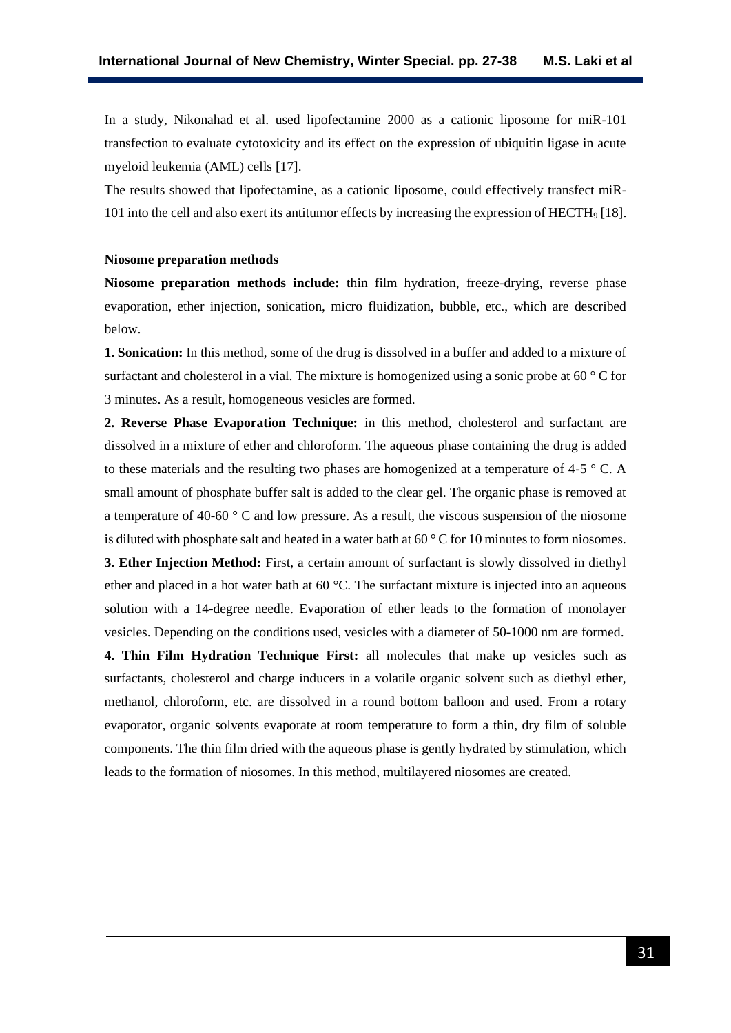In a study, Nikonahad et al. used lipofectamine 2000 as a cationic liposome for miR-101 transfection to evaluate cytotoxicity and its effect on the expression of ubiquitin ligase in acute myeloid leukemia (AML) cells [17].

The results showed that lipofectamine, as a cationic liposome, could effectively transfect miR-101 into the cell and also exert its antitumor effects by increasing the expression of HECTH<sup>9</sup> [18].

#### **Niosome preparation methods**

**Niosome preparation methods include:** thin film hydration, freeze-drying, reverse phase evaporation, ether injection, sonication, micro fluidization, bubble, etc., which are described below.

**1. Sonication:** In this method, some of the drug is dissolved in a buffer and added to a mixture of surfactant and cholesterol in a vial. The mixture is homogenized using a sonic probe at 60 ° C for 3 minutes. As a result, homogeneous vesicles are formed.

**2. Reverse Phase Evaporation Technique:** in this method, cholesterol and surfactant are dissolved in a mixture of ether and chloroform. The aqueous phase containing the drug is added to these materials and the resulting two phases are homogenized at a temperature of 4-5  $\degree$  C. A small amount of phosphate buffer salt is added to the clear gel. The organic phase is removed at a temperature of 40-60 ° C and low pressure. As a result, the viscous suspension of the niosome is diluted with phosphate salt and heated in a water bath at 60 ° C for 10 minutes to form niosomes. **3. Ether Injection Method:** First, a certain amount of surfactant is slowly dissolved in diethyl ether and placed in a hot water bath at 60 °C. The surfactant mixture is injected into an aqueous solution with a 14-degree needle. Evaporation of ether leads to the formation of monolayer vesicles. Depending on the conditions used, vesicles with a diameter of 50-1000 nm are formed.

**4. Thin Film Hydration Technique First:** all molecules that make up vesicles such as surfactants, cholesterol and charge inducers in a volatile organic solvent such as diethyl ether, methanol, chloroform, etc. are dissolved in a round bottom balloon and used. From a rotary evaporator, organic solvents evaporate at room temperature to form a thin, dry film of soluble components. The thin film dried with the aqueous phase is gently hydrated by stimulation, which leads to the formation of niosomes. In this method, multilayered niosomes are created.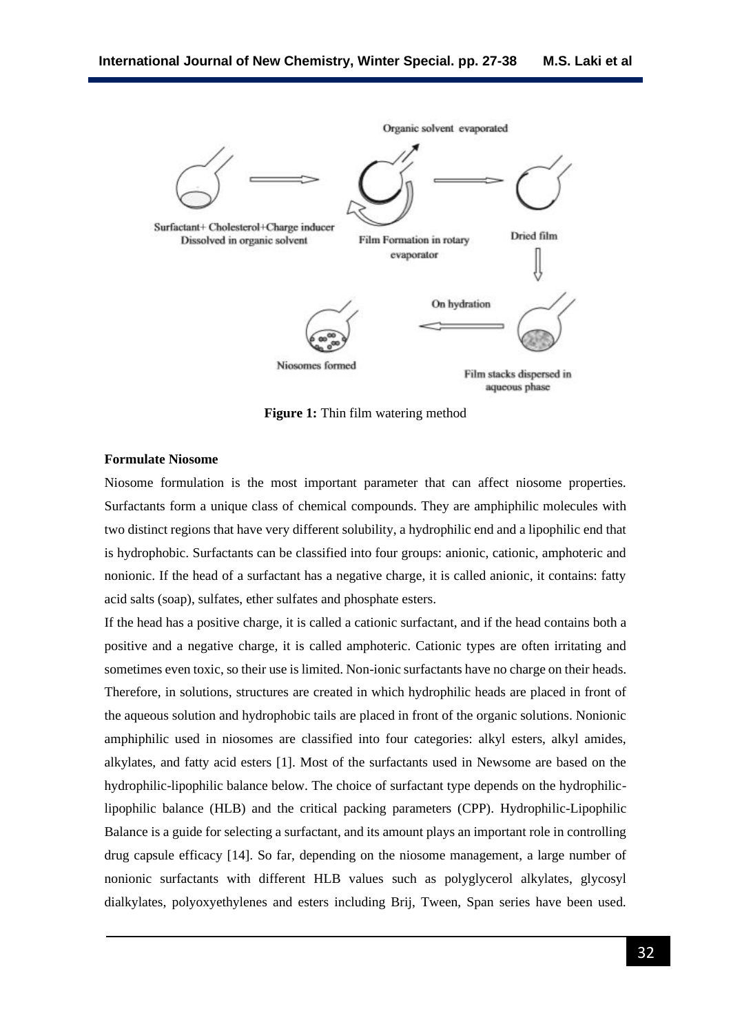

**Figure 1:** Thin film watering method

## **Formulate Niosome**

Niosome formulation is the most important parameter that can affect niosome properties. Surfactants form a unique class of chemical compounds. They are amphiphilic molecules with two distinct regions that have very different solubility, a hydrophilic end and a lipophilic end that is hydrophobic. Surfactants can be classified into four groups: anionic, cationic, amphoteric and nonionic. If the head of a surfactant has a negative charge, it is called anionic, it contains: fatty acid salts (soap), sulfates, ether sulfates and phosphate esters.

If the head has a positive charge, it is called a cationic surfactant, and if the head contains both a positive and a negative charge, it is called amphoteric. Cationic types are often irritating and sometimes even toxic, so their use is limited. Non-ionic surfactants have no charge on their heads. Therefore, in solutions, structures are created in which hydrophilic heads are placed in front of the aqueous solution and hydrophobic tails are placed in front of the organic solutions. Nonionic amphiphilic used in niosomes are classified into four categories: alkyl esters, alkyl amides, alkylates, and fatty acid esters [1]. Most of the surfactants used in Newsome are based on the hydrophilic-lipophilic balance below. The choice of surfactant type depends on the hydrophiliclipophilic balance (HLB) and the critical packing parameters (CPP). Hydrophilic-Lipophilic Balance is a guide for selecting a surfactant, and its amount plays an important role in controlling drug capsule efficacy [14]. So far, depending on the niosome management, a large number of nonionic surfactants with different HLB values such as polyglycerol alkylates, glycosyl dialkylates, polyoxyethylenes and esters including Brij, Tween, Span series have been used.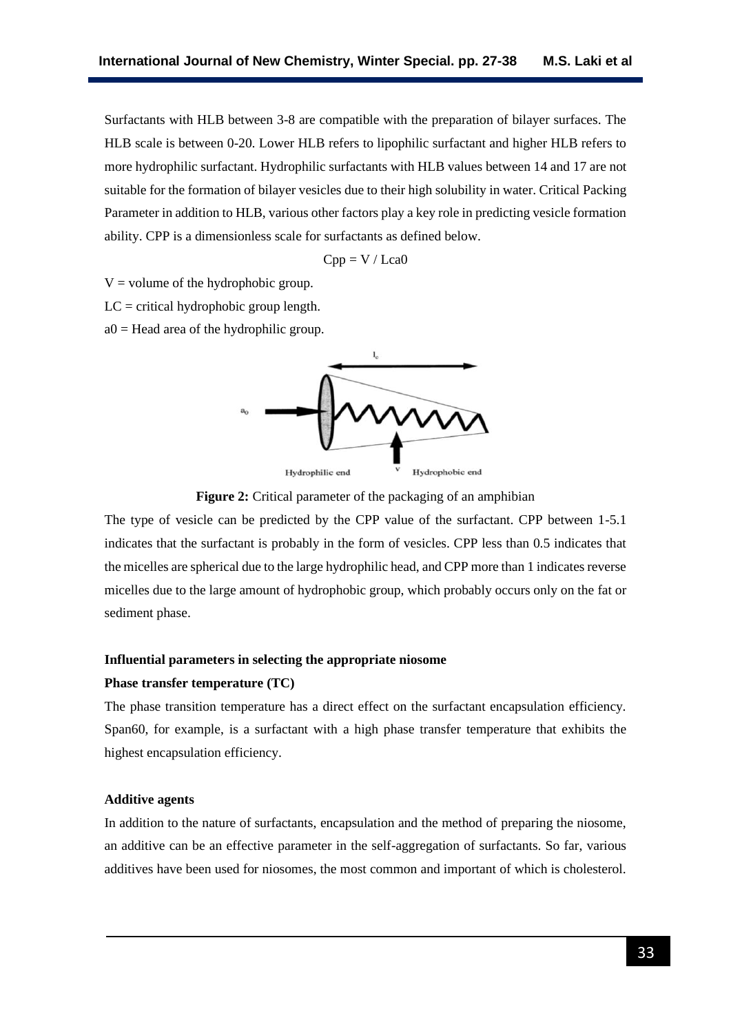Surfactants with HLB between 3-8 are compatible with the preparation of bilayer surfaces. The HLB scale is between 0-20. Lower HLB refers to lipophilic surfactant and higher HLB refers to more hydrophilic surfactant. Hydrophilic surfactants with HLB values between 14 and 17 are not suitable for the formation of bilayer vesicles due to their high solubility in water. Critical Packing Parameter in addition to HLB, various other factors play a key role in predicting vesicle formation ability. CPP is a dimensionless scale for surfactants as defined below.

$$
Cpp = V / Lca0
$$

 $V =$  volume of the hydrophobic group.

 $LC =$  critical hydrophobic group length.

 $a0 =$  Head area of the hydrophilic group.



**Figure 2:** Critical parameter of the packaging of an amphibian

The type of vesicle can be predicted by the CPP value of the surfactant. CPP between 1-5.1 indicates that the surfactant is probably in the form of vesicles. CPP less than 0.5 indicates that the micelles are spherical due to the large hydrophilic head, and CPP more than 1 indicates reverse micelles due to the large amount of hydrophobic group, which probably occurs only on the fat or sediment phase.

## **Influential parameters in selecting the appropriate niosome**

#### **Phase transfer temperature (TC)**

The phase transition temperature has a direct effect on the surfactant encapsulation efficiency. Span60, for example, is a surfactant with a high phase transfer temperature that exhibits the highest encapsulation efficiency.

## **Additive agents**

In addition to the nature of surfactants, encapsulation and the method of preparing the niosome, an additive can be an effective parameter in the self-aggregation of surfactants. So far, various additives have been used for niosomes, the most common and important of which is cholesterol.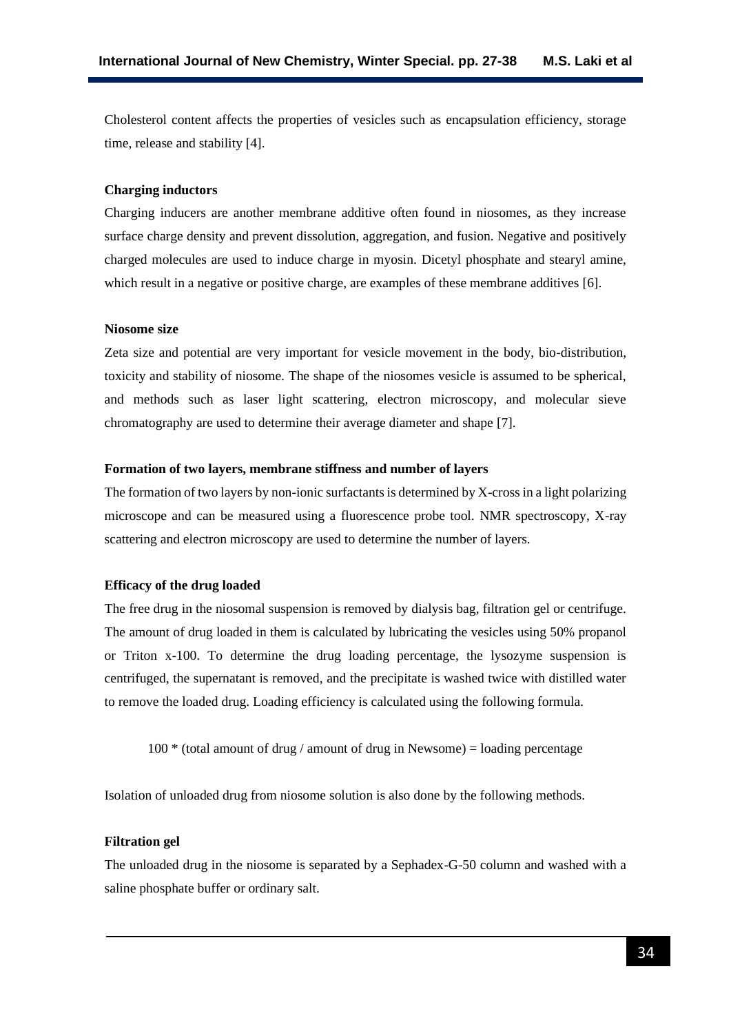Cholesterol content affects the properties of vesicles such as encapsulation efficiency, storage time, release and stability [4].

## **Charging inductors**

Charging inducers are another membrane additive often found in niosomes, as they increase surface charge density and prevent dissolution, aggregation, and fusion. Negative and positively charged molecules are used to induce charge in myosin. Dicetyl phosphate and stearyl amine, which result in a negative or positive charge, are examples of these membrane additives [6].

#### **Niosome size**

Zeta size and potential are very important for vesicle movement in the body, bio-distribution, toxicity and stability of niosome. The shape of the niosomes vesicle is assumed to be spherical, and methods such as laser light scattering, electron microscopy, and molecular sieve chromatography are used to determine their average diameter and shape [7].

#### **Formation of two layers, membrane stiffness and number of layers**

The formation of two layers by non-ionic surfactants is determined by X-cross in a light polarizing microscope and can be measured using a fluorescence probe tool. NMR spectroscopy, X-ray scattering and electron microscopy are used to determine the number of layers.

#### **Efficacy of the drug loaded**

The free drug in the niosomal suspension is removed by dialysis bag, filtration gel or centrifuge. The amount of drug loaded in them is calculated by lubricating the vesicles using 50% propanol or Triton x-100. To determine the drug loading percentage, the lysozyme suspension is centrifuged, the supernatant is removed, and the precipitate is washed twice with distilled water to remove the loaded drug. Loading efficiency is calculated using the following formula.

 $100 *$  (total amount of drug / amount of drug in Newsome) = loading percentage

Isolation of unloaded drug from niosome solution is also done by the following methods.

## **Filtration gel**

The unloaded drug in the niosome is separated by a Sephadex-G-50 column and washed with a saline phosphate buffer or ordinary salt.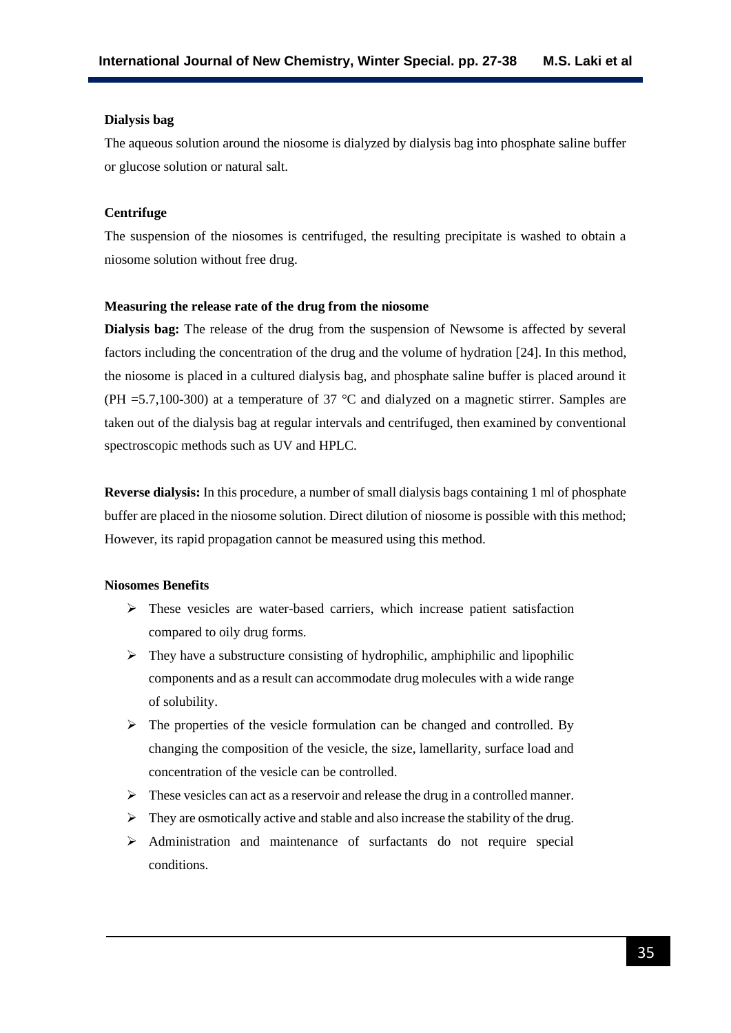#### **Dialysis bag**

The aqueous solution around the niosome is dialyzed by dialysis bag into phosphate saline buffer or glucose solution or natural salt.

## **Centrifuge**

The suspension of the niosomes is centrifuged, the resulting precipitate is washed to obtain a niosome solution without free drug.

#### **Measuring the release rate of the drug from the niosome**

**Dialysis bag:** The release of the drug from the suspension of Newsome is affected by several factors including the concentration of the drug and the volume of hydration [24]. In this method, the niosome is placed in a cultured dialysis bag, and phosphate saline buffer is placed around it (PH = 5.7,100-300) at a temperature of 37  $^{\circ}$ C and dialyzed on a magnetic stirrer. Samples are taken out of the dialysis bag at regular intervals and centrifuged, then examined by conventional spectroscopic methods such as UV and HPLC.

**Reverse dialysis:** In this procedure, a number of small dialysis bags containing 1 ml of phosphate buffer are placed in the niosome solution. Direct dilution of niosome is possible with this method; However, its rapid propagation cannot be measured using this method.

## **Niosomes Benefits**

- ➢ These vesicles are water-based carriers, which increase patient satisfaction compared to oily drug forms.
- $\triangleright$  They have a substructure consisting of hydrophilic, amphiphilic and lipophilic components and as a result can accommodate drug molecules with a wide range of solubility.
- $\triangleright$  The properties of the vesicle formulation can be changed and controlled. By changing the composition of the vesicle, the size, lamellarity, surface load and concentration of the vesicle can be controlled.
- $\triangleright$  These vesicles can act as a reservoir and release the drug in a controlled manner.
- $\triangleright$  They are osmotically active and stable and also increase the stability of the drug.
- ➢ Administration and maintenance of surfactants do not require special conditions.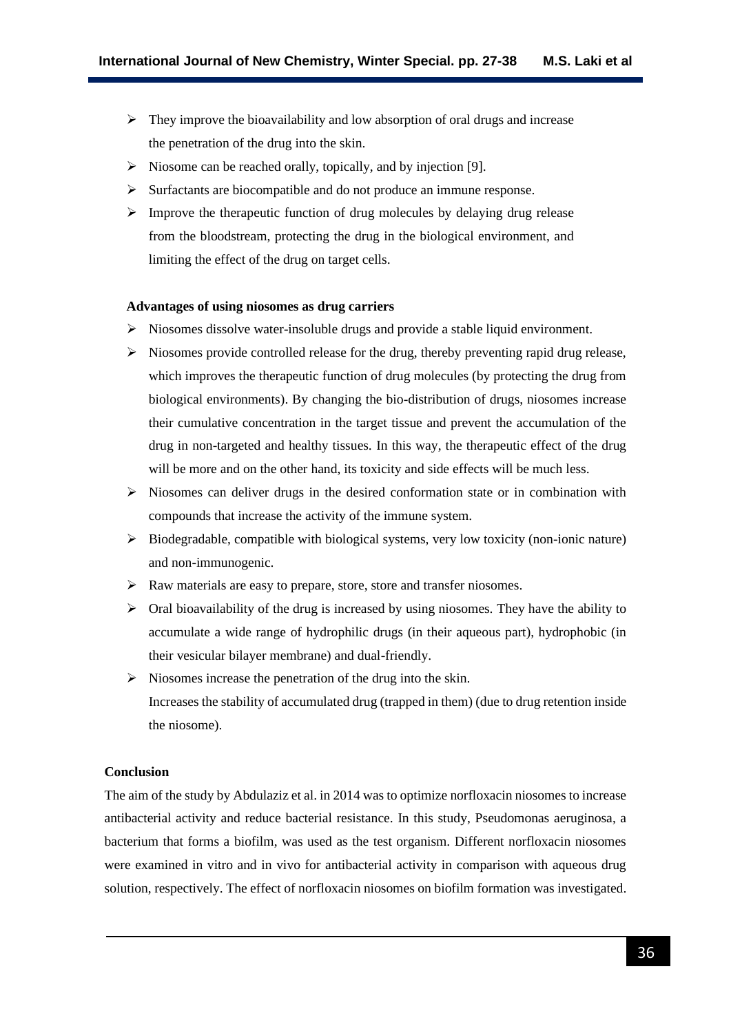- $\triangleright$  They improve the bioavailability and low absorption of oral drugs and increase the penetration of the drug into the skin.
- $\triangleright$  Niosome can be reached orally, topically, and by injection [9].
- ➢ Surfactants are biocompatible and do not produce an immune response.
- ➢ Improve the therapeutic function of drug molecules by delaying drug release from the bloodstream, protecting the drug in the biological environment, and limiting the effect of the drug on target cells.

## **Advantages of using niosomes as drug carriers**

- $\triangleright$  Niosomes dissolve water-insoluble drugs and provide a stable liquid environment.
- ➢ Niosomes provide controlled release for the drug, thereby preventing rapid drug release, which improves the therapeutic function of drug molecules (by protecting the drug from biological environments). By changing the bio-distribution of drugs, niosomes increase their cumulative concentration in the target tissue and prevent the accumulation of the drug in non-targeted and healthy tissues. In this way, the therapeutic effect of the drug will be more and on the other hand, its toxicity and side effects will be much less.
- $\triangleright$  Niosomes can deliver drugs in the desired conformation state or in combination with compounds that increase the activity of the immune system.
- ➢ Biodegradable, compatible with biological systems, very low toxicity (non-ionic nature) and non-immunogenic.
- $\triangleright$  Raw materials are easy to prepare, store, store and transfer niosomes.
- $\triangleright$  Oral bioavailability of the drug is increased by using niosomes. They have the ability to accumulate a wide range of hydrophilic drugs (in their aqueous part), hydrophobic (in their vesicular bilayer membrane) and dual-friendly.
- $\triangleright$  Niosomes increase the penetration of the drug into the skin. Increases the stability of accumulated drug (trapped in them) (due to drug retention inside the niosome).

## **Conclusion**

The aim of the study by Abdulaziz et al. in 2014 was to optimize norfloxacin niosomes to increase antibacterial activity and reduce bacterial resistance. In this study, Pseudomonas aeruginosa, a bacterium that forms a biofilm, was used as the test organism. Different norfloxacin niosomes were examined in vitro and in vivo for antibacterial activity in comparison with aqueous drug solution, respectively. The effect of norfloxacin niosomes on biofilm formation was investigated.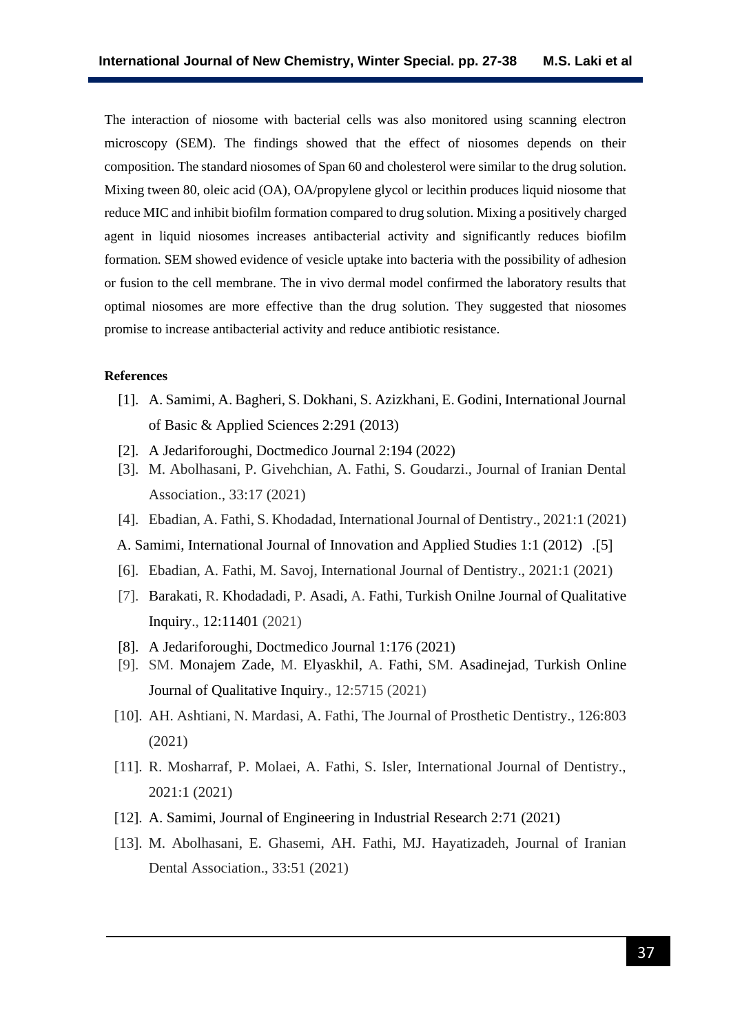The interaction of niosome with bacterial cells was also monitored using scanning electron microscopy (SEM). The findings showed that the effect of niosomes depends on their composition. The standard niosomes of Span 60 and cholesterol were similar to the drug solution. Mixing tween 80, oleic acid (OA), OA/propylene glycol or lecithin produces liquid niosome that reduce MIC and inhibit biofilm formation compared to drug solution. Mixing a positively charged agent in liquid niosomes increases antibacterial activity and significantly reduces biofilm formation. SEM showed evidence of vesicle uptake into bacteria with the possibility of adhesion or fusion to the cell membrane. The in vivo dermal model confirmed the laboratory results that optimal niosomes are more effective than the drug solution. They suggested that niosomes promise to increase antibacterial activity and reduce antibiotic resistance.

#### **References**

- [1]. A. Samimi, A. Bagheri, S. Dokhani, S. Azizkhani, E. Godini, International Journal of Basic & Applied Sciences 2:291 (2013)
- [2]. A Jedariforoughi, Doctmedico Journal 2:194 (2022)
- [3]. M. Abolhasani, P. Givehchian, A. Fathi, S. Goudarzi., Journal of Iranian Dental Association., 33:17 (2021)
- [4]. Ebadian, A. Fathi, S. Khodadad, International Journal of Dentistry., 2021:1 (2021)
- A. Samimi, International Journal of Innovation and Applied Studies 1:1 (2012) .<sup>[5]</sup>
- [6]. Ebadian, A. Fathi, M. Savoj, International Journal of Dentistry., 2021:1 (2021)
- [7]. Barakati, R. Khodadadi, P. Asadi, A. Fathi, Turkish Onilne Journal of Qualitative Inquiry., 12:11401 (2021)
- [8]. A Jedariforoughi, Doctmedico Journal 1:176 (2021)
- [9]. SM. Monajem Zade, M. Elyaskhil, A. Fathi, SM. Asadinejad, Turkish Online Journal of Qualitative Inquiry., 12:5715 (2021)
- [10]. AH. Ashtiani, N. Mardasi, A. Fathi, The Journal of Prosthetic Dentistry., 126:803 (2021)
- [11]. R. Mosharraf, P. Molaei, A. Fathi, S. Isler, International Journal of Dentistry., 2021:1 (2021)
- [12]. A. Samimi, Journal of Engineering in Industrial Research 2:71 (2021)
- [13]. M. Abolhasani, E. Ghasemi, AH. Fathi, MJ. Hayatizadeh, Journal of Iranian Dental Association., 33:51 (2021)